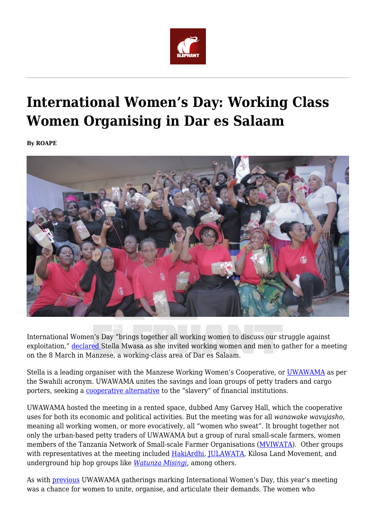

# **International Women's Day: Working Class Women Organising in Dar es Salaam**

**By ROAPE**



International Women's Day "brings together all working women to discuss our struggle against exploitation," [declared](https://twitter.com/uwawama/status/1500688545320742919) Stella Mwasa as she invited working women and men to gather for a meeting on the 8 March in Manzese, a working-class area of Dar es Salaam.

Stella is a leading organiser with the Manzese Working Women's Cooperative, or [UWAWAMA](https://twitter.com/uwawama/status/1500688545320742919) as per the Swahili acronym. UWAWAMA unites the savings and loan groups of petty traders and cargo porters, seeking a [cooperative alternative](https://africasacountry.com/2019/03/how-the-poor-can-fight-back-against-the-banks) to the "slavery" of financial institutions.

UWAWAMA hosted the meeting in a rented space, dubbed Amy Garvey Hall, which the cooperative uses for both its economic and political activities. But the meeting was for all *wanawake wavujasho*, meaning all working women, or more evocatively, all "women who sweat". It brought together not only the urban-based petty traders of UWAWAMA but a group of rural small-scale farmers, women members of the Tanzania Network of Small-scale Farmer Organisations ([MVIWATA\)](https://twitter.com/MVIWATA). Other groups with representatives at the meeting included [HakiArdhi](https://www.hakiardhi.or.tz/), [JULAWATA,](https://www.facebook.com/JULAWATA) Kilosa Land Movement, and underground hip hop groups like *[Watunza Misingi](https://www.youtube.com/watch?v=Az_MU-46he4)*, among others.

As with [previous](https://africasacountry.com/2020/04/collective-action-liberation-and-tanzanias-working-poor) UWAWAMA gatherings marking International Women's Day, this year's meeting was a chance for women to unite, organise, and articulate their demands. The women who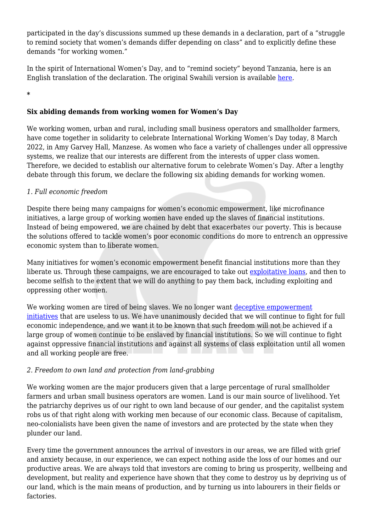participated in the day's discussions summed up these demands in a declaration, part of a "struggle to remind society that women's demands differ depending on class" and to explicitly define these demands "for working women."

In the spirit of International Women's Day, and to "remind society" beyond Tanzania, here is an English translation of the declaration. The original Swahili version is available [here.](https://sautiyaujamaa.wordpress.com/2022/03/09/madai-sita-endelevu-ya-wanawake-wanyonge/)

**\***

# **Six abiding demands from working women for Women's Day**

We working women, urban and rural, including small business operators and smallholder farmers, have come together in solidarity to celebrate International Working Women's Day today, 8 March 2022, in Amy Garvey Hall, Manzese. As women who face a variety of challenges under all oppressive systems, we realize that our interests are different from the interests of upper class women. Therefore, we decided to establish our alternative forum to celebrate Women's Day. After a lengthy debate through this forum, we declare the following six abiding demands for working women.

### *1. Full economic freedom*

Despite there being many campaigns for women's economic empowerment, like microfinance initiatives, a large group of working women have ended up the slaves of financial institutions. Instead of being empowered, we are chained by debt that exacerbates our poverty. This is because the solutions offered to tackle women's poor economic conditions do more to entrench an oppressive economic system than to liberate women.

Many initiatives for women's economic empowerment benefit financial institutions more than they liberate us. Through these campaigns, we are encouraged to take out [exploitative loans,](https://africasacountry.com/2019/03/how-the-poor-can-fight-back-against-the-banks) and then to become selfish to the extent that we will do anything to pay them back, including exploiting and oppressing other women.

We working women are tired of being slaves. We no longer want [deceptive empowerment](https://roape.net/2022/03/01/kenya-and-the-rise-of-the-financial-inclusion-delusion/) [initiatives](https://roape.net/2022/03/01/kenya-and-the-rise-of-the-financial-inclusion-delusion/) that are useless to us. We have unanimously decided that we will continue to fight for full economic independence, and we want it to be known that such freedom will not be achieved if a large group of women continue to be enslaved by financial institutions. So we will continue to fight against oppressive financial institutions and against all systems of class exploitation until all women and all working people are free.

### *2. Freedom to own land and protection from land-grabbing*

We working women are the major producers given that a large percentage of rural smallholder farmers and urban small business operators are women. Land is our main source of livelihood. Yet the patriarchy deprives us of our right to own land because of our gender, and the capitalist system robs us of that right along with working men because of our economic class. Because of capitalism, neo-colonialists have been given the name of investors and are protected by the state when they plunder our land.

Every time the government announces the arrival of investors in our areas, we are filled with grief and anxiety because, in our experience, we can expect nothing aside the loss of our homes and our productive areas. We are always told that investors are coming to bring us prosperity, wellbeing and development, but reality and experience have shown that they come to destroy us by depriving us of our land, which is the main means of production, and by turning us into labourers in their fields or factories.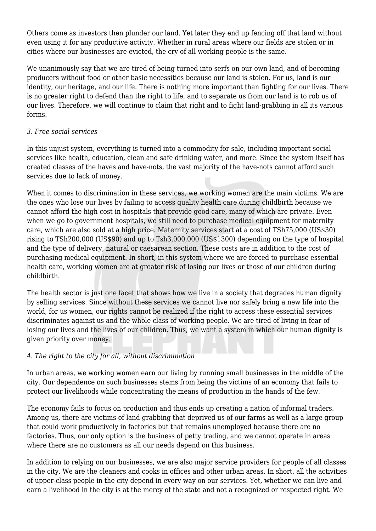Others come as investors then plunder our land. Yet later they end up fencing off that land without even using it for any productive activity. Whether in rural areas where our fields are stolen or in cities where our businesses are evicted, the cry of all working people is the same.

We unanimously say that we are tired of being turned into serfs on our own land, and of becoming producers without food or other basic necessities because our land is stolen. For us, land is our identity, our heritage, and our life. There is nothing more important than fighting for our lives. There is no greater right to defend than the right to life, and to separate us from our land is to rob us of our lives. Therefore, we will continue to claim that right and to fight land-grabbing in all its various forms.

### *3. Free social services*

In this unjust system, everything is turned into a commodity for sale, including important social services like health, education, clean and safe drinking water, and more. Since the system itself has created classes of the haves and have-nots, the vast majority of the have-nots cannot afford such services due to lack of money.

When it comes to discrimination in these services, we working women are the main victims. We are the ones who lose our lives by failing to access quality health care during childbirth because we cannot afford the high cost in hospitals that provide good care, many of which are private. Even when we go to government hospitals, we still need to purchase medical equipment for maternity care, which are also sold at a high price. Maternity services start at a cost of TSh75,000 (US\$30) rising to TSh200,000 (US\$90) and up to Tsh3,000,000 (US\$1300) depending on the type of hospital and the type of delivery, natural or caesarean section. These costs are in addition to the cost of purchasing medical equipment. In short, in this system where we are forced to purchase essential health care, working women are at greater risk of losing our lives or those of our children during childbirth.

The health sector is just one facet that shows how we live in a society that degrades human dignity by selling services. Since without these services we cannot live nor safely bring a new life into the world, for us women, our rights cannot be realized if the right to access these essential services discriminates against us and the whole class of working people. We are tired of living in fear of losing our lives and the lives of our children. Thus, we want a system in which our human dignity is given priority over money.

#### *4. The right to the city for all, without discrimination*

In urban areas, we working women earn our living by running small businesses in the middle of the city. Our dependence on such businesses stems from being the victims of an economy that fails to protect our livelihoods while concentrating the means of production in the hands of the few.

The economy fails to focus on production and thus ends up creating a nation of informal traders. Among us, there are victims of land grabbing that deprived us of our farms as well as a large group that could work productively in factories but that remains unemployed because there are no factories. Thus, our only option is the business of petty trading, and we cannot operate in areas where there are no customers as all our needs depend on this business.

In addition to relying on our businesses, we are also major service providers for people of all classes in the city. We are the cleaners and cooks in offices and other urban areas. In short, all the activities of upper-class people in the city depend in every way on our services. Yet, whether we can live and earn a livelihood in the city is at the mercy of the state and not a recognized or respected right. We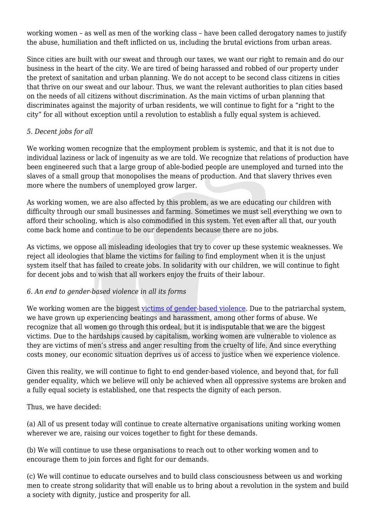working women – as well as men of the working class – have been called derogatory names to justify the abuse, humiliation and theft inflicted on us, including the brutal evictions from urban areas.

Since cities are built with our sweat and through our taxes, we want our right to remain and do our business in the heart of the city. We are tired of being harassed and robbed of our property under the pretext of sanitation and urban planning. We do not accept to be second class citizens in cities that thrive on our sweat and our labour. Thus, we want the relevant authorities to plan cities based on the needs of all citizens without discrimination. As the main victims of urban planning that discriminates against the majority of urban residents, we will continue to fight for a "right to the city" for all without exception until a revolution to establish a fully equal system is achieved.

## *5. Decent jobs for all*

We working women recognize that the employment problem is systemic, and that it is not due to individual laziness or lack of ingenuity as we are told. We recognize that relations of production have been engineered such that a large group of able-bodied people are unemployed and turned into the slaves of a small group that monopolises the means of production. And that slavery thrives even more where the numbers of unemployed grow larger.

As working women, we are also affected by this problem, as we are educating our children with difficulty through our small businesses and farming. Sometimes we must sell everything we own to afford their schooling, which is also commodified in this system. Yet even after all that, our youth come back home and continue to be our dependents because there are no jobs.

As victims, we oppose all misleading ideologies that try to cover up these systemic weaknesses. We reject all ideologies that blame the victims for failing to find employment when it is the unjust system itself that has failed to create jobs. In solidarity with our children, we will continue to fight for decent jobs and to wish that all workers enjoy the fruits of their labour.

### *6. An end to gender-based violence in all its forms*

We working women are the biggest [victims of gender-based violence](https://ukombozireview.com/issue-8/whose-liberation-is-it-anyway-misogyny-and-homophobia-in-kenyan-leftist-spaces/). Due to the patriarchal system, we have grown up experiencing beatings and harassment, among other forms of abuse. We recognize that all women go through this ordeal, but it is indisputable that we are the biggest victims. Due to the hardships caused by capitalism, working women are vulnerable to violence as they are victims of men's stress and anger resulting from the cruelty of life. And since everything costs money, our economic situation deprives us of access to justice when we experience violence.

Given this reality, we will continue to fight to end gender-based violence, and beyond that, for full gender equality, which we believe will only be achieved when all oppressive systems are broken and a fully equal society is established, one that respects the dignity of each person.

Thus, we have decided:

(a) All of us present today will continue to create alternative organisations uniting working women wherever we are, raising our voices together to fight for these demands.

(b) We will continue to use these organisations to reach out to other working women and to encourage them to join forces and fight for our demands.

(c) We will continue to educate ourselves and to build class consciousness between us and working men to create strong solidarity that will enable us to bring about a revolution in the system and build a society with dignity, justice and prosperity for all.